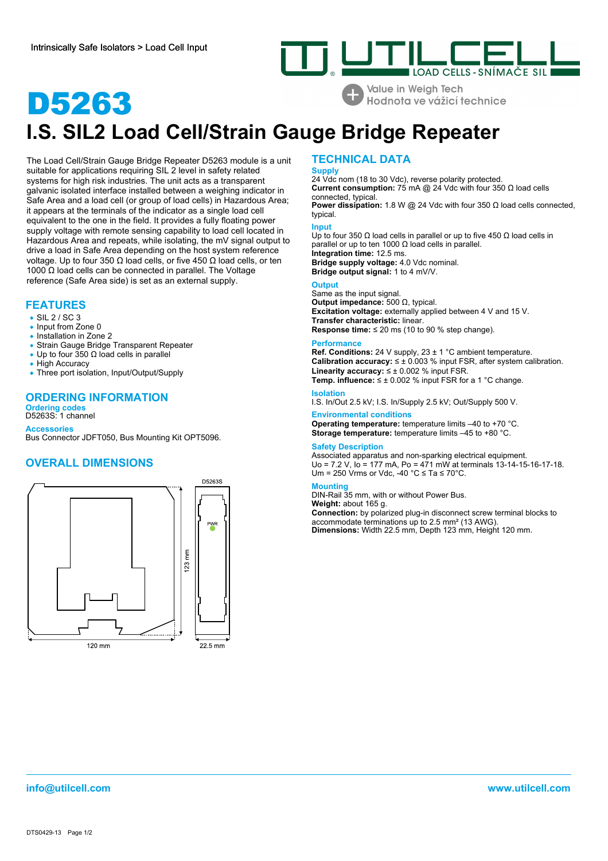

**Value in Weigh Tech** Hodnota ve vážicí technice

# D5263 **I.S. SIL2 Load Cell/Strain Gauge Bridge Repeater**

The Load Cell/Strain Gauge Bridge Repeater D5263 module is a unit suitable for applications requiring SIL 2 level in safety related systems for high risk industries. The unit acts as a transparent galvanic isolated interface installed between a weighing indicator in Safe Area and a load cell (or group of load cells) in Hazardous Area; it appears at the terminals of the indicator as a single load cell equivalent to the one in the field. It provides a fully floating power supply voltage with remote sensing capability to load cell located in Hazardous Area and repeats, while isolating, the mV signal output to drive a load in Safe Area depending on the host system reference voltage. Up to four 350 Ω load cells, or five 450 Ω load cells, or ten 1000 Ω load cells can be connected in parallel. The Voltage reference (Safe Area side) is set as an external supply.

# **FEATURES**

### • SIL 2 / SC 3

- Input from Zone 0
- Installation in Zone 2
- Strain Gauge Bridge Transparent Repeater
- Up to four  $350 \Omega$  load cells in parallel
- High Accuracy
- Three port isolation, Input/Output/Supply

# **ORDERING INFORMATION**

**Ordering codes** D5263S: 1 channel

**Accessories** Bus Connector JDFT050, Bus Mounting Kit OPT5096.

# **OVERALL DIMENSIONS**



# **TECHNICAL DATA**

**Supply** 24 Vdc nom (18 to 30 Vdc), reverse polarity protected. **Current consumption:** 75 mA @ 24 Vdc with four 350 Ω load cells connected, typical.

**Power dissipation:** 1.8 W @ 24 Vdc with four 350 Ω load cells connected, typical.

# **Input**

Up to four 350 Ω load cells in parallel or up to five 450 Ω load cells in parallel or up to ten 1000  $Ω$  load cells in parallel. **Integration time:** 12.5 ms. **Bridge supply voltage:** 4.0 Vdc nominal. **Bridge output signal:** 1 to 4 mV/V.

**Output**

Same as the input signal. **Output impedance:** 500 Ω, typical. **Excitation voltage:** externally applied between 4 V and 15 V. **Transfer characteristic:** linear. **Response time:** ≤ 20 ms (10 to 90 % step change).

### **Performance**

**Ref. Conditions:** 24 V supply, 23 ± 1 °C ambient temperature. **Calibration accuracy:** ≤ ± 0.003 % input FSR, after system calibration. **Linearity accuracy:** ≤ ± 0.002 % input FSR. **Temp. influence:** ≤ ± 0.002 % input FSR for a 1 °C change.

## **Isolation**

I.S. In/Out 2.5 kV; I.S. In/Supply 2.5 kV; Out/Supply 500 V.

# **Environmental conditions**

**Operating temperature:** temperature limits –40 to +70 °C. **Storage temperature:** temperature limits –45 to +80 °C.

### **Safety Description**

Associated apparatus and non-sparking electrical equipment. Uo = 7.2 V, Io = 177 mA, Po = 471 mW at terminals 13-14-15-16-17-18. Um = 250 Vrms or Vdc, -40 °C ≤ Ta ≤ 70°C.

### **Mounting**

DIN-Rail 35 mm, with or without Power Bus.

**Weight:** about 165 g.

**Connection:** by polarized plug-in disconnect screw terminal blocks to accommodate terminations up to 2.5 mm² (13 AWG). **Dimensions:** Width 22.5 mm, Depth 123 mm, Height 120 mm.